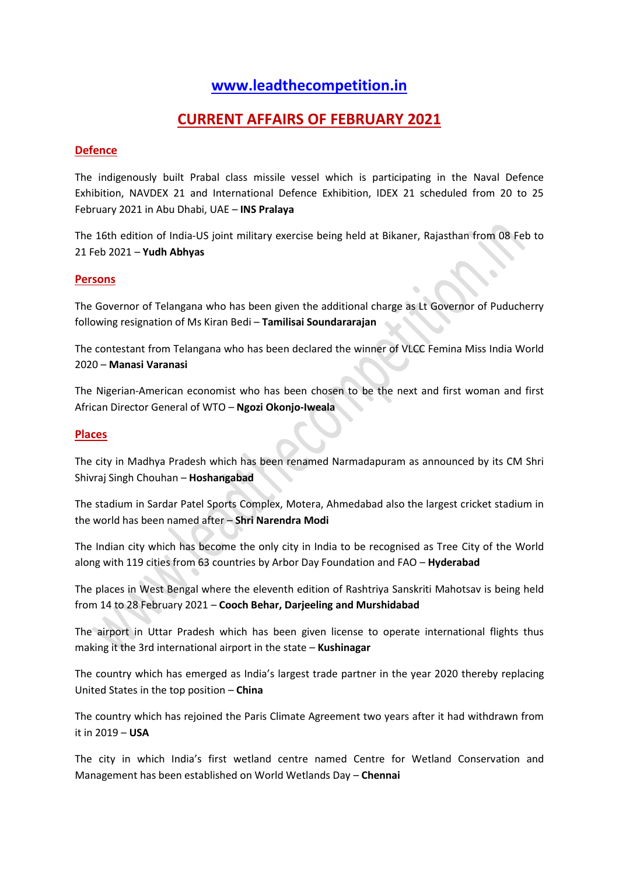# **[www.leadthecompetition.in](http://www.leadthecompetition.in/)**

# **CURRENT AFFAIRS OF FEBRUARY 2021**

### **Defence**

The indigenously built Prabal class missile vessel which is participating in the Naval Defence Exhibition, NAVDEX 21 and International Defence Exhibition, IDEX 21 scheduled from 20 to 25 February 2021 in Abu Dhabi, UAE – **INS Pralaya**

The 16th edition of India-US joint military exercise being held at Bikaner, Rajasthan from 08 Feb to 21 Feb 2021 – **Yudh Abhyas**

#### **Persons**

The Governor of Telangana who has been given the additional charge as Lt Governor of Puducherry following resignation of Ms Kiran Bedi – **Tamilisai Soundararajan**

The contestant from Telangana who has been declared the winner of VLCC Femina Miss India World 2020 – **Manasi Varanasi**

The Nigerian-American economist who has been chosen to be the next and first woman and first African Director General of WTO – **Ngozi Okonjo-Iweala**

#### **Places**

The city in Madhya Pradesh which has been renamed Narmadapuram as announced by its CM Shri Shivraj Singh Chouhan – **Hoshangabad**

The stadium in Sardar Patel Sports Complex, Motera, Ahmedabad also the largest cricket stadium in the world has been named after – **Shri Narendra Modi**

The Indian city which has become the only city in India to be recognised as Tree City of the World along with 119 cities from 63 countries by Arbor Day Foundation and FAO – **Hyderabad**

The places in West Bengal where the eleventh edition of Rashtriya Sanskriti Mahotsav is being held from 14 to 28 February 2021 – **Cooch Behar, Darjeeling and Murshidabad**

The airport in Uttar Pradesh which has been given license to operate international flights thus making it the 3rd international airport in the state – **Kushinagar**

The country which has emerged as India's largest trade partner in the year 2020 thereby replacing United States in the top position – **China**

The country which has rejoined the Paris Climate Agreement two years after it had withdrawn from it in 2019 – **USA**

The city in which India's first wetland centre named Centre for Wetland Conservation and Management has been established on World Wetlands Day – **Chennai**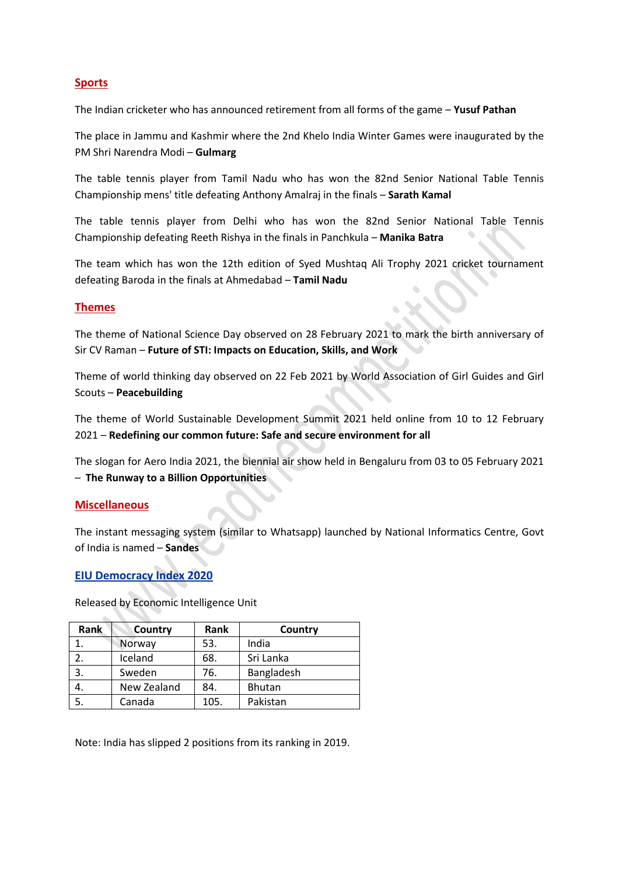### **Sports**

The Indian cricketer who has announced retirement from all forms of the game – **Yusuf Pathan**

The place in Jammu and Kashmir where the 2nd Khelo India Winter Games were inaugurated by the PM Shri Narendra Modi – **Gulmarg**

The table tennis player from Tamil Nadu who has won the 82nd Senior National Table Tennis Championship mens' title defeating Anthony Amalraj in the finals – **Sarath Kamal**

The table tennis player from Delhi who has won the 82nd Senior National Table Tennis Championship defeating Reeth Rishya in the finals in Panchkula – **Manika Batra**

The team which has won the 12th edition of Syed Mushtaq Ali Trophy 2021 cricket tournament defeating Baroda in the finals at Ahmedabad – **Tamil Nadu**

#### **Themes**

The theme of National Science Day observed on 28 February 2021 to mark the birth anniversary of Sir CV Raman – **Future of STI: Impacts on Education, Skills, and Work**

Theme of world thinking day observed on 22 Feb 2021 by World Association of Girl Guides and Girl Scouts – **Peacebuilding**

The theme of World Sustainable Development Summit 2021 held online from 10 to 12 February 2021 – **Redefining our common future: Safe and secure environment for all**

The slogan for Aero India 2021, the biennial air show held in Bengaluru from 03 to 05 February 2021 – **The Runway to a Billion Opportunities**

#### **Miscellaneous**

The instant messaging system (similar to Whatsapp) launched by National Informatics Centre, Govt of India is named – **Sandes**

#### **EIU Democracy Index 2020**

Released by Economic Intelligence Unit

| <b>Rank</b> | Country     | Rank | Country       |
|-------------|-------------|------|---------------|
|             | Norway      | 53.  | India         |
| 2.          | Iceland     | 68.  | Sri Lanka     |
| 3.          | Sweden      | 76.  | Bangladesh    |
| 4.          | New Zealand | 84.  | <b>Bhutan</b> |
| 5.          | Canada      | 105. | Pakistan      |

Note: India has slipped 2 positions from its ranking in 2019.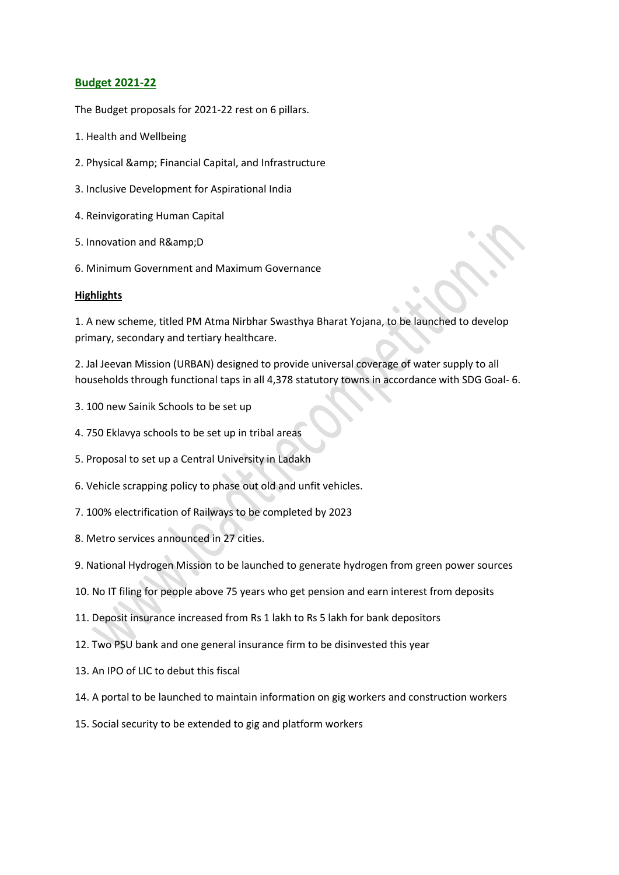## **Budget 2021-22**

The Budget proposals for 2021-22 rest on 6 pillars.

- 1. Health and Wellbeing
- 2. Physical & amp; Financial Capital, and Infrastructure
- 3. Inclusive Development for Aspirational India
- 4. Reinvigorating Human Capital
- 5. Innovation and R& D
- 6. Minimum Government and Maximum Governance

#### **Highlights**

1. A new scheme, titled PM Atma Nirbhar Swasthya Bharat Yojana, to be launched to develop primary, secondary and tertiary healthcare.

2. Jal Jeevan Mission (URBAN) designed to provide universal coverage of water supply to all households through functional taps in all 4,378 statutory towns in accordance with SDG Goal- 6.

- 3. 100 new Sainik Schools to be set up
- 4. 750 Eklavya schools to be set up in tribal areas
- 5. Proposal to set up a Central University in Ladakh
- 6. Vehicle scrapping policy to phase out old and unfit vehicles.
- 7. 100% electrification of Railways to be completed by 2023
- 8. Metro services announced in 27 cities.
- 9. National Hydrogen Mission to be launched to generate hydrogen from green power sources
- 10. No IT filing for people above 75 years who get pension and earn interest from deposits
- 11. Deposit insurance increased from Rs 1 lakh to Rs 5 lakh for bank depositors
- 12. Two PSU bank and one general insurance firm to be disinvested this year
- 13. An IPO of LIC to debut this fiscal
- 14. A portal to be launched to maintain information on gig workers and construction workers
- 15. Social security to be extended to gig and platform workers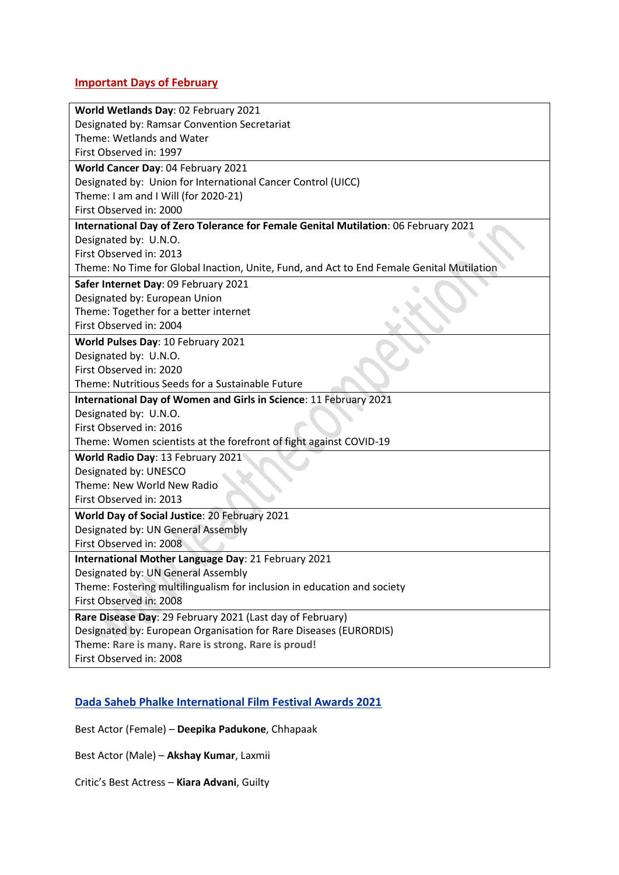## **Important Days of February**

| World Wetlands Day: 02 February 2021                                                      |  |  |  |  |
|-------------------------------------------------------------------------------------------|--|--|--|--|
| Designated by: Ramsar Convention Secretariat                                              |  |  |  |  |
| Theme: Wetlands and Water                                                                 |  |  |  |  |
| First Observed in: 1997                                                                   |  |  |  |  |
| World Cancer Day: 04 February 2021                                                        |  |  |  |  |
| Designated by: Union for International Cancer Control (UICC)                              |  |  |  |  |
| Theme: I am and I Will (for 2020-21)                                                      |  |  |  |  |
| First Observed in: 2000                                                                   |  |  |  |  |
| International Day of Zero Tolerance for Female Genital Mutilation: 06 February 2021       |  |  |  |  |
| Designated by: U.N.O.                                                                     |  |  |  |  |
| First Observed in: 2013                                                                   |  |  |  |  |
| Theme: No Time for Global Inaction, Unite, Fund, and Act to End Female Genital Mutilation |  |  |  |  |
| Safer Internet Day: 09 February 2021                                                      |  |  |  |  |
| Designated by: European Union                                                             |  |  |  |  |
| Theme: Together for a better internet                                                     |  |  |  |  |
| First Observed in: 2004                                                                   |  |  |  |  |
| World Pulses Day: 10 February 2021                                                        |  |  |  |  |
| Designated by: U.N.O.                                                                     |  |  |  |  |
| First Observed in: 2020                                                                   |  |  |  |  |
| Theme: Nutritious Seeds for a Sustainable Future                                          |  |  |  |  |
| International Day of Women and Girls in Science: 11 February 2021                         |  |  |  |  |
| Designated by: U.N.O.                                                                     |  |  |  |  |
| First Observed in: 2016                                                                   |  |  |  |  |
| Theme: Women scientists at the forefront of fight against COVID-19                        |  |  |  |  |
| World Radio Day: 13 February 2021                                                         |  |  |  |  |
| Designated by: UNESCO                                                                     |  |  |  |  |
| Theme: New World New Radio                                                                |  |  |  |  |
| First Observed in: 2013                                                                   |  |  |  |  |
| World Day of Social Justice: 20 February 2021                                             |  |  |  |  |
| Designated by: UN General Assembly                                                        |  |  |  |  |
| First Observed in: 2008                                                                   |  |  |  |  |
| International Mother Language Day: 21 February 2021                                       |  |  |  |  |
| Designated by: UN General Assembly                                                        |  |  |  |  |
| Theme: Fostering multilingualism for inclusion in education and society                   |  |  |  |  |
| First Observed in: 2008                                                                   |  |  |  |  |
| Rare Disease Day: 29 February 2021 (Last day of February)                                 |  |  |  |  |
| Designated by: European Organisation for Rare Diseases (EURORDIS)                         |  |  |  |  |
| Theme: Rare is many. Rare is strong. Rare is proud!                                       |  |  |  |  |
| First Observed in: 2008                                                                   |  |  |  |  |
|                                                                                           |  |  |  |  |

# **Dada Saheb Phalke International Film Festival Awards 2021**

Best Actor (Female) – **Deepika Padukone**, Chhapaak

Best Actor (Male) – **Akshay Kumar**, Laxmii

Critic's Best Actress – **Kiara Advani**, Guilty